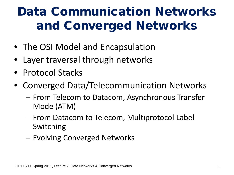# Data Communication Networks and Converged Networks

- The OSI Model and Encapsulation
- Layer traversal through networks
- Protocol Stacks
- Converged Data/Telecommunication Networks
	- From Telecom to Datacom, Asynchronous Transfer Mode (ATM)
	- From Datacom to Telecom, Multiprotocol Label Switching
	- Evolving Converged Networks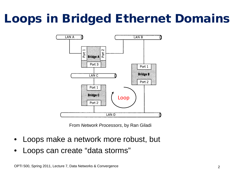# Loops in Bridged Ethernet Domains



From *Network Processors*, by Ran Giladi

- Loops make a network more robust, but
- Loops can create "data storms"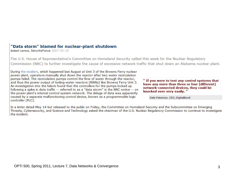#### "Data storm" blamed for nuclear-plant shutdown

Robert Lemos, SecurityFocus 2007-05-18

The U.S. House of Representative's Committee on Homeland Security called this week for the Nuclear Regulatory Commission (NRC) to further investigate the cause of excessive network traffic that shut down an Alabama nuclear plant.

During the incident, which happened last August at Unit 3 of the Browns Ferry nuclear power plant, operators manually shut down the reactor after two water recirculation pumps failed. The recirculation pumps control the flow of water through the reactor, and thus the power output of boiling-water reactors (BWRs) like Browns Ferry Unit 3. An investigation into the failure found that the controllers for the pumps locked up following a spike in data traffic -- referred to as a "data storm" in the NRC notice -- on the power plant's internal control system network. The deluge of data was apparently caused by a separate malfunctioning control device, known as a programmable logic controller (PLC).

" If you were to test any control systems that have any more than three or four (different) network-connected devices, they could be knocked over very easily."

Dale Peterson, CEO, DigitalBond

In a letter dated May 14 but released to the public on Friday, the Committee on Homeland Security and the Subcommittee on Emerging Threats, Cybersecurity, and Science and Technology asked the chairman of the U.S. Nuclear Regulatory Commission to continue to investigate the incident.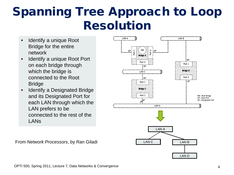## Spanning Tree Approach to Loop Resolution

- Identify a unique Root Bridge for the entire network
- Identify a unique Root Port on each bridge through which the bridge is connected to the Root Bridge
- Identify a Designated Bridge and its Designated Port for each LAN through which the LAN prefers to be connected to the rest of the LANs

LAN A LAN<sub>B</sub> RB  $\sim$ DP **DP Bridge A RP** Port 3 Port 1 **DP Bridge B** LAN<sub>C</sub> Port 2 **RP** DP Port 1 **Bridge C** Port 2 RB-Root Bridge RP-Root Port DP-Designated Port LAN<sub>D</sub> LAN A LANC | LANB LAN D

From *Network Processors*, by Ran Giladi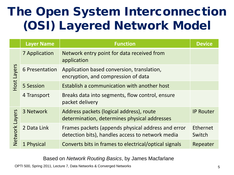# The Open System Interconnection (OSI) Layered Network Model

|                          | <b>Layer Name</b>    | <b>Function</b>                                                                                        | <b>Device</b>      |
|--------------------------|----------------------|--------------------------------------------------------------------------------------------------------|--------------------|
| Layers<br>Host           | <b>7 Application</b> | Network entry point for data received from<br>application                                              |                    |
|                          | 6 Presentation       | Application based conversion, translation,<br>encryption, and compression of data                      |                    |
|                          | 5 Session            | Establish a communication with another host                                                            |                    |
|                          | 4 Transport          | Breaks data into segments, flow control, ensure<br>packet delivery                                     |                    |
| Layers<br><b>Network</b> | 3 Network            | Address packets (logical address), route<br>determination, determines physical addresses               | <b>IP Router</b>   |
|                          | 2 Data Link          | Frames packets (appends physical address and error<br>detection bits), handles access to network media | Ethernet<br>Switch |
|                          | 1 Physical           | Converts bits in frames to electrical/optical signals                                                  | Repeater           |

Based on *Network Routing Basics*, by James Macfarlane

OPTI 500, Spring 2011, Lecture 7, Data Networks & Converged Networks 6 (Separation 2011) 5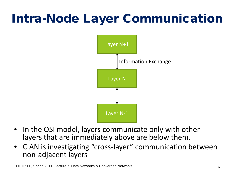# Intra-Node Layer Communication



- In the OSI model, layers communicate only with other layers that are immediately above are below them.
- CIAN is investigating "cross-layer" communication between non-adjacent layers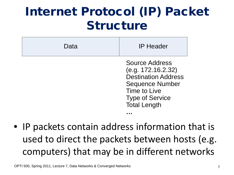## Internet Protocol (IP) Packet Structure

| Data | <b>IP Header</b>                                                                                                                                              |
|------|---------------------------------------------------------------------------------------------------------------------------------------------------------------|
|      | Source Address<br>(e.g. 172.16.2.32)<br><b>Destination Address</b><br><b>Sequence Number</b><br>Time to Live<br><b>Type of Service</b><br><b>Total Length</b> |
|      |                                                                                                                                                               |

• IP packets contain address information that is used to direct the packets between hosts (e.g. computers) that may be in different networks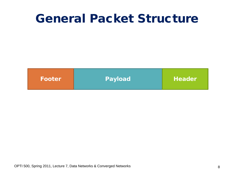### General Packet Structure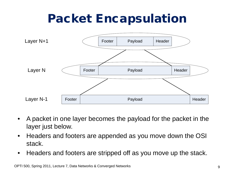## Packet Encapsulation



- A packet in one layer becomes the payload for the packet in the layer just below.
- Headers and footers are appended as you move down the OSI stack.
- Headers and footers are stripped off as you move up the stack.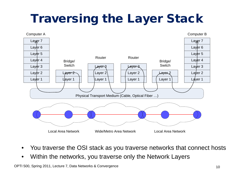# Traversing the Layer Stack



- You traverse the OSI stack as you traverse networks that connect hosts
- Within the networks, you traverse only the Network Layers

OPTI 500, Spring 2011, Lecture 7, Data Networks & Convergence 10 and 10 and 10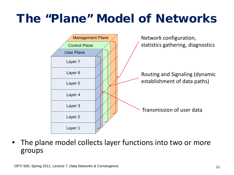## The "Plane" Model of Networks



The plane model collects layer functions into two or more groups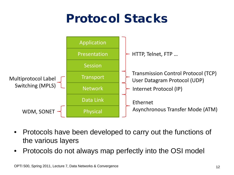# Protocol Stacks



- Protocols have been developed to carry out the functions of the various layers
- Protocols do not always map perfectly into the OSI model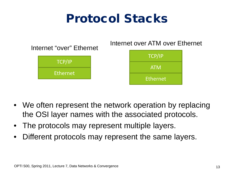## Protocol Stacks



- We often represent the network operation by replacing the OSI layer names with the associated protocols.
- The protocols may represent multiple layers.
- Different protocols may represent the same layers.